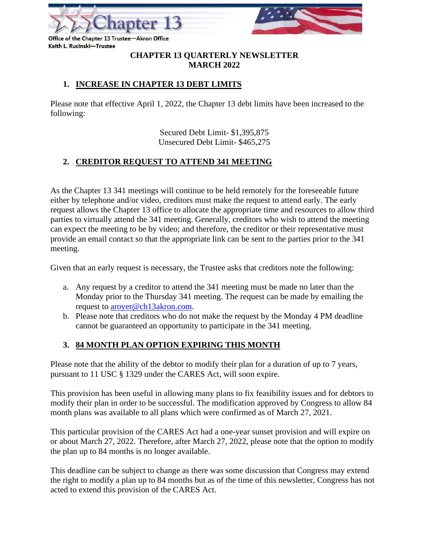

Office of the Chapter 13 Trustee-Akron Office Keith L. Rucinski-Trustee

#### **CHAPTER 13 QUARTERLY NEWSLETTER MARCH 2022**

## **1. INCREASE IN CHAPTER 13 DEBT LIMITS**

Please note that effective April 1, 2022, the Chapter 13 debt limits have been increased to the following:

> Secured Debt Limit- \$1,395,875 Unsecured Debt Limit- \$465,275

## **2. CREDITOR REQUEST TO ATTEND 341 MEETING**

As the Chapter 13 341 meetings will continue to be held remotely for the foreseeable future either by telephone and/or video, creditors must make the request to attend early. The early request allows the Chapter 13 office to allocate the appropriate time and resources to allow third parties to virtually attend the 341 meeting. Generally, creditors who wish to attend the meeting can expect the meeting to be by video; and therefore, the creditor or their representative must provide an email contact so that the appropriate link can be sent to the parties prior to the 341 meeting.

Given that an early request is necessary, the Trustee asks that creditors note the following:

- a. Any request by a creditor to attend the 341 meeting must be made no later than the Monday prior to the Thursday 341 meeting. The request can be made by emailing the request to [aroyer@ch13akron.com.](mailto:aroyer@ch13akron.com)
- b. Please note that creditors who do not make the request by the Monday 4 PM deadline cannot be guaranteed an opportunity to participate in the 341 meeting.

#### **3. 84 MONTH PLAN OPTION EXPIRING THIS MONTH**

Please note that the ability of the debtor to modify their plan for a duration of up to 7 years, pursuant to 11 USC § 1329 under the CARES Act, will soon expire.

This provision has been useful in allowing many plans to fix feasibility issues and for debtors to modify their plan in order to be successful. The modification approved by Congress to allow 84 month plans was available to all plans which were confirmed as of March 27, 2021.

This particular provision of the CARES Act had a one-year sunset provision and will expire on or about March 27, 2022. Therefore, after March 27, 2022, please note that the option to modify the plan up to 84 months is no longer available.

This deadline can be subject to change as there was some discussion that Congress may extend the right to modify a plan up to 84 months but as of the time of this newsletter, Congress has not acted to extend this provision of the CARES Act.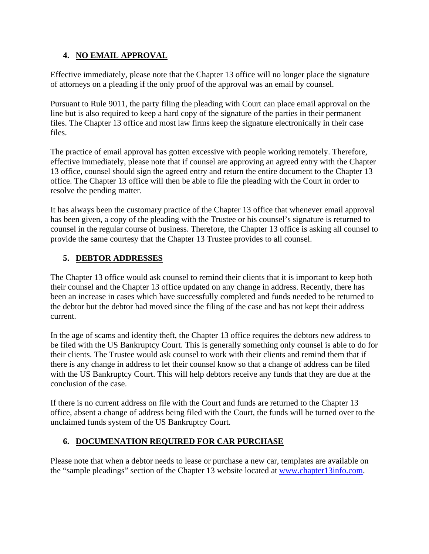#### **4. NO EMAIL APPROVAL**

Effective immediately, please note that the Chapter 13 office will no longer place the signature of attorneys on a pleading if the only proof of the approval was an email by counsel.

Pursuant to Rule 9011, the party filing the pleading with Court can place email approval on the line but is also required to keep a hard copy of the signature of the parties in their permanent files. The Chapter 13 office and most law firms keep the signature electronically in their case files.

The practice of email approval has gotten excessive with people working remotely. Therefore, effective immediately, please note that if counsel are approving an agreed entry with the Chapter 13 office, counsel should sign the agreed entry and return the entire document to the Chapter 13 office. The Chapter 13 office will then be able to file the pleading with the Court in order to resolve the pending matter.

It has always been the customary practice of the Chapter 13 office that whenever email approval has been given, a copy of the pleading with the Trustee or his counsel's signature is returned to counsel in the regular course of business. Therefore, the Chapter 13 office is asking all counsel to provide the same courtesy that the Chapter 13 Trustee provides to all counsel.

## **5. DEBTOR ADDRESSES**

The Chapter 13 office would ask counsel to remind their clients that it is important to keep both their counsel and the Chapter 13 office updated on any change in address. Recently, there has been an increase in cases which have successfully completed and funds needed to be returned to the debtor but the debtor had moved since the filing of the case and has not kept their address current.

In the age of scams and identity theft, the Chapter 13 office requires the debtors new address to be filed with the US Bankruptcy Court. This is generally something only counsel is able to do for their clients. The Trustee would ask counsel to work with their clients and remind them that if there is any change in address to let their counsel know so that a change of address can be filed with the US Bankruptcy Court. This will help debtors receive any funds that they are due at the conclusion of the case.

If there is no current address on file with the Court and funds are returned to the Chapter 13 office, absent a change of address being filed with the Court, the funds will be turned over to the unclaimed funds system of the US Bankruptcy Court.

## **6. DOCUMENATION REQUIRED FOR CAR PURCHASE**

Please note that when a debtor needs to lease or purchase a new car, templates are available on the "sample pleadings" section of the Chapter 13 website located at [www.chapter13info.com.](http://www.chapter13info.com/)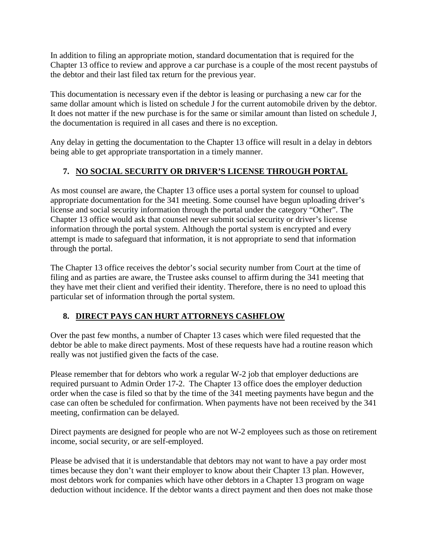In addition to filing an appropriate motion, standard documentation that is required for the Chapter 13 office to review and approve a car purchase is a couple of the most recent paystubs of the debtor and their last filed tax return for the previous year.

This documentation is necessary even if the debtor is leasing or purchasing a new car for the same dollar amount which is listed on schedule J for the current automobile driven by the debtor. It does not matter if the new purchase is for the same or similar amount than listed on schedule J, the documentation is required in all cases and there is no exception.

Any delay in getting the documentation to the Chapter 13 office will result in a delay in debtors being able to get appropriate transportation in a timely manner.

## **7. NO SOCIAL SECURITY OR DRIVER'S LICENSE THROUGH PORTAL**

As most counsel are aware, the Chapter 13 office uses a portal system for counsel to upload appropriate documentation for the 341 meeting. Some counsel have begun uploading driver's license and social security information through the portal under the category "Other". The Chapter 13 office would ask that counsel never submit social security or driver's license information through the portal system. Although the portal system is encrypted and every attempt is made to safeguard that information, it is not appropriate to send that information through the portal.

The Chapter 13 office receives the debtor's social security number from Court at the time of filing and as parties are aware, the Trustee asks counsel to affirm during the 341 meeting that they have met their client and verified their identity. Therefore, there is no need to upload this particular set of information through the portal system.

#### **8. DIRECT PAYS CAN HURT ATTORNEYS CASHFLOW**

Over the past few months, a number of Chapter 13 cases which were filed requested that the debtor be able to make direct payments. Most of these requests have had a routine reason which really was not justified given the facts of the case.

Please remember that for debtors who work a regular W-2 job that employer deductions are required pursuant to Admin Order 17-2. The Chapter 13 office does the employer deduction order when the case is filed so that by the time of the 341 meeting payments have begun and the case can often be scheduled for confirmation. When payments have not been received by the 341 meeting, confirmation can be delayed.

Direct payments are designed for people who are not W-2 employees such as those on retirement income, social security, or are self-employed.

Please be advised that it is understandable that debtors may not want to have a pay order most times because they don't want their employer to know about their Chapter 13 plan. However, most debtors work for companies which have other debtors in a Chapter 13 program on wage deduction without incidence. If the debtor wants a direct payment and then does not make those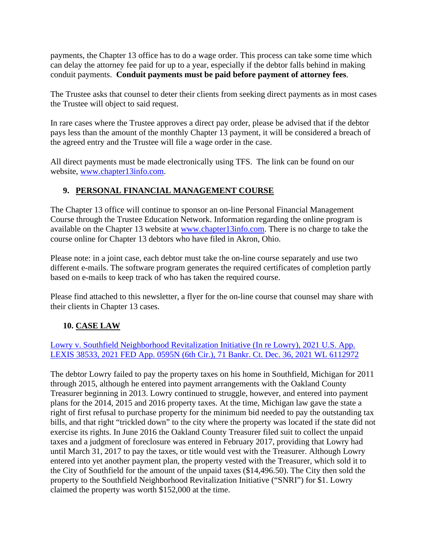payments, the Chapter 13 office has to do a wage order. This process can take some time which can delay the attorney fee paid for up to a year, especially if the debtor falls behind in making conduit payments. **Conduit payments must be paid before payment of attorney fees**.

The Trustee asks that counsel to deter their clients from seeking direct payments as in most cases the Trustee will object to said request.

In rare cases where the Trustee approves a direct pay order, please be advised that if the debtor pays less than the amount of the monthly Chapter 13 payment, it will be considered a breach of the agreed entry and the Trustee will file a wage order in the case.

All direct payments must be made electronically using TFS. The link can be found on our website, [www.chapter13info.com.](http://www.chapter13info.com/)

## **9. PERSONAL FINANCIAL MANAGEMENT COURSE**

The Chapter 13 office will continue to sponsor an on-line Personal Financial Management Course through the Trustee Education Network. Information regarding the online program is available on the Chapter 13 website at [www.chapter13info.com.](http://www.chapter13info.com/) There is no charge to take the course online for Chapter 13 debtors who have filed in Akron, Ohio.

Please note: in a joint case, each debtor must take the on-line course separately and use two different e-mails. The software program generates the required certificates of completion partly based on e-mails to keep track of who has taken the required course.

Please find attached to this newsletter, a flyer for the on-line course that counsel may share with their clients in Chapter 13 cases.

## **10. CASE LAW**

[Lowry v. Southfield Neighborhood Revitalization Initiative \(In re Lowry\), 2021 U.S. App.](https://advance.lexis.com/api/document/collection/cases/id/64D8-C9J1-FK0M-S3DF-00000-00?cite=2021%20U.S.%20App.%20LEXIS%2038533&context=1000516)  [LEXIS 38533, 2021 FED App. 0595N \(6th Cir.\), 71 Bankr. Ct. Dec. 36, 2021 WL 6112972](https://advance.lexis.com/api/document/collection/cases/id/64D8-C9J1-FK0M-S3DF-00000-00?cite=2021%20U.S.%20App.%20LEXIS%2038533&context=1000516)

The debtor Lowry failed to pay the property taxes on his home in Southfield, Michigan for 2011 through 2015, although he entered into payment arrangements with the Oakland County Treasurer beginning in 2013. Lowry continued to struggle, however, and entered into payment plans for the 2014, 2015 and 2016 property taxes. At the time, Michigan law gave the state a right of first refusal to purchase property for the minimum bid needed to pay the outstanding tax bills, and that right "trickled down" to the city where the property was located if the state did not exercise its rights. In June 2016 the Oakland County Treasurer filed suit to collect the unpaid taxes and a judgment of foreclosure was entered in February 2017, providing that Lowry had until March 31, 2017 to pay the taxes, or title would vest with the Treasurer. Although Lowry entered into yet another payment plan, the property vested with the Treasurer, which sold it to the City of Southfield for the amount of the unpaid taxes (\$14,496.50). The City then sold the property to the Southfield Neighborhood Revitalization Initiative ("SNRI") for \$1. Lowry claimed the property was worth \$152,000 at the time.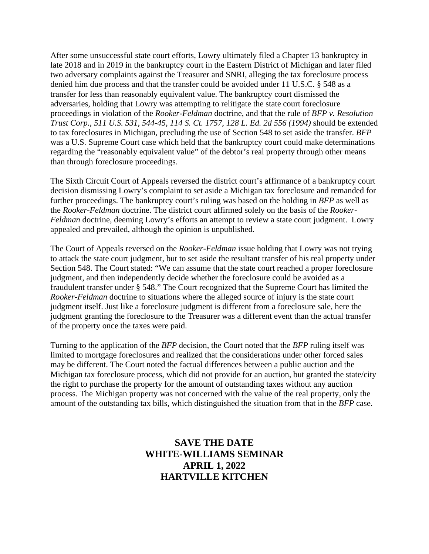After some unsuccessful state court efforts, Lowry ultimately filed a Chapter 13 bankruptcy in late 2018 and in 2019 in the bankruptcy court in the Eastern District of Michigan and later filed two adversary complaints against the Treasurer and SNRI, alleging the tax foreclosure process denied him due process and that the transfer could be avoided under 11 U.S.C. § 548 as a transfer for less than reasonably equivalent value. The bankruptcy court dismissed the adversaries, holding that Lowry was attempting to relitigate the state court foreclosure proceedings in violation of the *Rooker-Feldman* doctrine, and that the rule of *BFP v. Resolution Trust Corp., 511 U.S. 531, 544-45, 114 S. Ct. 1757, 128 L. Ed. 2d 556 (1994)* should be extended to tax foreclosures in Michigan, precluding the use of Section 548 to set aside the transfer. *BFP* was a U.S. Supreme Court case which held that the bankruptcy court could make determinations regarding the "reasonably equivalent value" of the debtor's real property through other means than through foreclosure proceedings.

The Sixth Circuit Court of Appeals reversed the district court's affirmance of a bankruptcy court decision dismissing Lowry's complaint to set aside a Michigan tax foreclosure and remanded for further proceedings. The bankruptcy court's ruling was based on the holding in *BFP* as well as the *Rooker-Feldman* doctrine. The district court affirmed solely on the basis of the *Rooker-Feldman* doctrine, deeming Lowry's efforts an attempt to review a state court judgment. Lowry appealed and prevailed, although the opinion is unpublished.

The Court of Appeals reversed on the *Rooker-Feldman* issue holding that Lowry was not trying to attack the state court judgment, but to set aside the resultant transfer of his real property under Section 548. The Court stated: "We can assume that the state court reached a proper foreclosure judgment, and then independently decide whether the foreclosure could be avoided as a fraudulent transfer under § 548." The Court recognized that the Supreme Court has limited the *Rooker-Feldman* doctrine to situations where the alleged source of injury is the state court judgment itself. Just like a foreclosure judgment is different from a foreclosure sale, here the judgment granting the foreclosure to the Treasurer was a different event than the actual transfer of the property once the taxes were paid.

Turning to the application of the *BFP* decision, the Court noted that the *BFP* ruling itself was limited to mortgage foreclosures and realized that the considerations under other forced sales may be different. The Court noted the factual differences between a public auction and the Michigan tax foreclosure process, which did not provide for an auction, but granted the state/city the right to purchase the property for the amount of outstanding taxes without any auction process. The Michigan property was not concerned with the value of the real property, only the amount of the outstanding tax bills, which distinguished the situation from that in the *BFP* case.

## **SAVE THE DATE WHITE-WILLIAMS SEMINAR APRIL 1, 2022 HARTVILLE KITCHEN**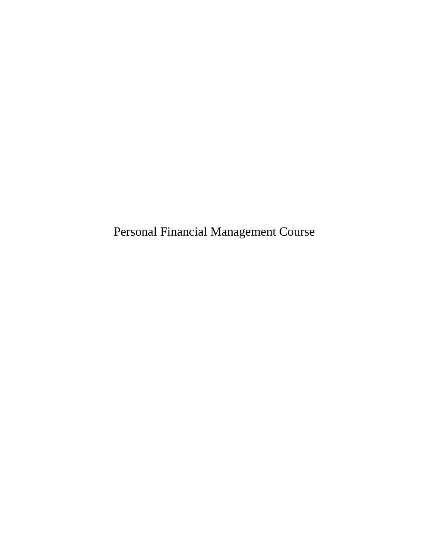Personal Financial Management Course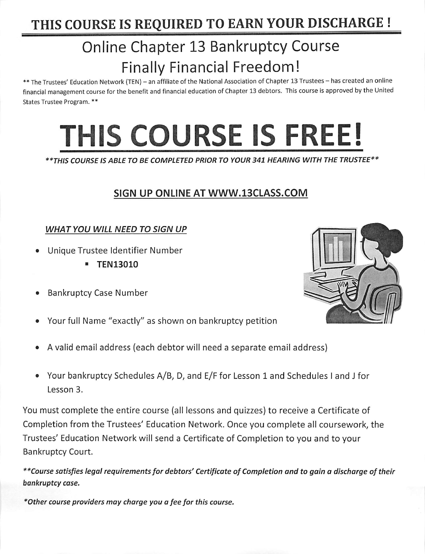## THIS COURSE IS REQUIRED TO EARN YOUR DISCHARGE !

# **Online Chapter 13 Bankruptcy Course Finally Financial Freedom!**

\*\* The Trustees' Education Network (TEN) - an affiliate of the National Association of Chapter 13 Trustees - has created an online financial management course for the benefit and financial education of Chapter 13 debtors. This course is approved by the United States Trustee Program. \*\*

# THIS COURSE IS FREE!

\*\* THIS COURSE IS ABLE TO BE COMPLETED PRIOR TO YOUR 341 HEARING WITH THE TRUSTEE \*\*

## SIGN UP ONLINE AT WWW.13CLASS.COM

## **WHAT YOU WILL NEED TO SIGN UP**

- Unique Trustee Identifier Number
	- **TEN13010**
- **Bankruptcy Case Number**
- Your full Name "exactly" as shown on bankruptcy petition
- A valid email address (each debtor will need a separate email address)
- Your bankruptcy Schedules A/B, D, and E/F for Lesson 1 and Schedules I and J for  $\bullet$ Lesson 3.

You must complete the entire course (all lessons and quizzes) to receive a Certificate of Completion from the Trustees' Education Network. Once you complete all coursework, the Trustees' Education Network will send a Certificate of Completion to you and to your **Bankruptcy Court.** 

\*\*Course satisfies legal requirements for debtors' Certificate of Completion and to gain a discharge of their bankruptcy case.

\*Other course providers may charge you a fee for this course.

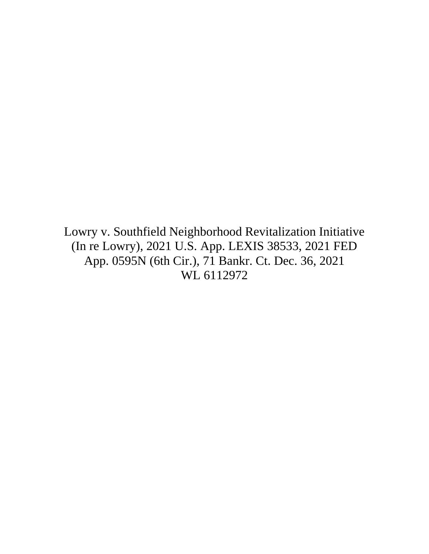[Lowry v. Southfield Neighborhood Revitalization Initiative](https://advance.lexis.com/api/document/collection/cases/id/64D8-C9J1-FK0M-S3DF-00000-00?cite=2021%20U.S.%20App.%20LEXIS%2038533&context=1000516)  [\(In re Lowry\), 2021 U.S. App. LEXIS 38533, 2021 FED](https://advance.lexis.com/api/document/collection/cases/id/64D8-C9J1-FK0M-S3DF-00000-00?cite=2021%20U.S.%20App.%20LEXIS%2038533&context=1000516)  [App. 0595N \(6th Cir.\), 71 Bankr. Ct. Dec. 36, 2021](https://advance.lexis.com/api/document/collection/cases/id/64D8-C9J1-FK0M-S3DF-00000-00?cite=2021%20U.S.%20App.%20LEXIS%2038533&context=1000516)  [WL 6112972](https://advance.lexis.com/api/document/collection/cases/id/64D8-C9J1-FK0M-S3DF-00000-00?cite=2021%20U.S.%20App.%20LEXIS%2038533&context=1000516)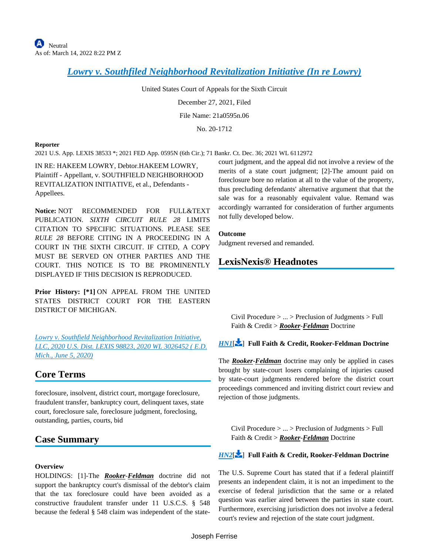*[Lowry v. Southfiled Neighborhood Revitalization Initiative \(In re Lowry\)](https://advance.lexis.com/api/document?collection=cases&id=urn:contentItem:64D8-C9J1-FK0M-S3DF-00000-00&context=1000516)*

United States Court of Appeals for the Sixth Circuit

December 27, 2021, Filed

File Name: 21a0595n.06

No. 20-1712

#### **Reporter**

2021 U.S. App. LEXIS 38533 \*; 2021 FED App. 0595N (6th Cir.); 71 Bankr. Ct. Dec. 36; 2021 WL 6112972

IN RE: HAKEEM LOWRY, Debtor.HAKEEM LOWRY, Plaintiff - Appellant, v. SOUTHFIELD NEIGHBORHOOD REVITALIZATION INITIATIVE, et al., Defendants - Appellees.

**Notice:** NOT RECOMMENDED FOR FULL&TEXT PUBLICATION. *SIXTH CIRCUIT RULE 28* LIMITS CITATION TO SPECIFIC SITUATIONS. PLEASE SEE *RULE 28* BEFORE CITING IN A PROCEEDING IN A COURT IN THE SIXTH CIRCUIT. IF CITED, A COPY MUST BE SERVED ON OTHER PARTIES AND THE COURT. THIS NOTICE IS TO BE PROMINENTLY DISPLAYED IF THIS DECISION IS REPRODUCED.

**Prior History: [\*1]** ON APPEAL FROM THE UNITED STATES DISTRICT COURT FOR THE EASTERN DISTRICT OF MICHIGAN.

*[Lowry v. Southfield Neighborhood Revitalization Initiative,](https://advance.lexis.com/api/document?collection=cases&id=urn:contentItem:602P-N391-FGY5-M3KF-00000-00&context=1000516)  [LLC, 2020 U.S. Dist. LEXIS 98823, 2020 WL 3026452 \( E.D.](https://advance.lexis.com/api/document?collection=cases&id=urn:contentItem:602P-N391-FGY5-M3KF-00000-00&context=1000516)  [Mich., June 5, 2020\)](https://advance.lexis.com/api/document?collection=cases&id=urn:contentItem:602P-N391-FGY5-M3KF-00000-00&context=1000516)*

#### **Core Terms**

foreclosure, insolvent, district court, mortgage foreclosure, fraudulent transfer, bankruptcy court, delinquent taxes, state court, foreclosure sale, foreclosure judgment, foreclosing, outstanding, parties, courts, bid

#### **Case Summary**

#### **Overview**

HOLDINGS: [1]-The *Rooker*-*Feldman* doctrine did not support the bankruptcy court's dismissal of the debtor's claim that the tax foreclosure could have been avoided as a constructive fraudulent transfer under 11 U.S.C.S. § 548 because the federal § 548 claim was independent of the statecourt judgment, and the appeal did not involve a review of the merits of a state court judgment; [2]-The amount paid on foreclosure bore no relation at all to the value of the property, thus precluding defendants' alternative argument that that the sale was for a reasonably equivalent value. Remand was accordingly warranted for consideration of further arguments not fully developed below.

#### **Outcome**

Judgment reversed and remanded.

#### **LexisNexis® Headnotes**

<span id="page-8-0"></span>Civil Procedure > ... > Preclusion of Judgments > Full Faith & Credit > *Rooker*-*Feldman* Doctrine

#### *[HN1](https://advance.lexis.com/api/document?collection=cases&id=urn:contentItem:64D8-C9J1-FK0M-S3DF-00000-00&context=1000516&link=LNHNREFclscc1)*[\[](#page-11-0) ] **Full Faith & Credit, Rooker-Feldman Doctrine**

The *Rooker*-*Feldman* doctrine may only be applied in cases brought by state-court losers complaining of injuries caused by state-court judgments rendered before the district court proceedings commenced and inviting district court review and rejection of those judgments.

Civil Procedure  $> \ldots >$  Preclusion of Judgments  $>$  Full Faith & Credit > *Rooker*-*Feldman* Doctrine

#### *[HN2](https://advance.lexis.com/api/document?collection=cases&id=urn:contentItem:64D8-C9J1-FK0M-S3DF-00000-00&context=1000516&link=LNHNREFclscc2)*[\[](#page-11-1) ] **Full Faith & Credit, Rooker-Feldman Doctrine**

The U.S. Supreme Court has stated that if a federal plaintiff presents an independent claim, it is not an impediment to the exercise of federal jurisdiction that the same or a related question was earlier aired between the parties in state court. Furthermore, exercising jurisdiction does not involve a federal court's review and rejection of the state court judgment.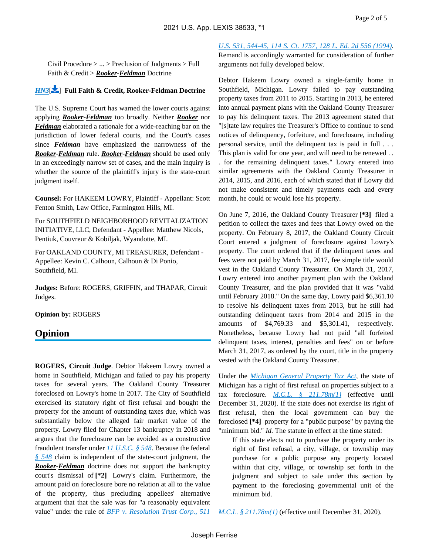<span id="page-9-0"></span>Civil Procedure > ... > Preclusion of Judgments > Full Faith & Credit > *Rooker*-*Feldman* Doctrine

#### *[HN3](https://advance.lexis.com/api/document?collection=cases&id=urn:contentItem:64D8-C9J1-FK0M-S3DF-00000-00&context=1000516&link=LNHNREFclscc3)*[\[](#page-11-2) ] **Full Faith & Credit, Rooker-Feldman Doctrine**

The U.S. Supreme Court has warned the lower courts against applying *Rooker*-*Feldman* too broadly. Neither *Rooker* nor *Feldman* elaborated a rationale for a wide-reaching bar on the jurisdiction of lower federal courts, and the Court's cases since *Feldman* have emphasized the narrowness of the *Rooker*-*Feldman* rule. *Rooker*-*Feldman* should be used only in an exceedingly narrow set of cases, and the main inquiry is whether the source of the plaintiff's injury is the state-court judgment itself.

**Counsel:** For HAKEEM LOWRY, Plaintiff - Appellant: Scott Fenton Smith, Law Office, Farmington Hills, MI.

For SOUTHFIELD NEIGHBORHOOD REVITALIZATION INITIATIVE, LLC, Defendant - Appellee: Matthew Nicols, Pentiuk, Couvreur & Kobiljak, Wyandotte, MI.

For OAKLAND COUNTY, MI TREASURER, Defendant - Appellee: Kevin C. Calhoun, Calhoun & Di Ponio, Southfield, MI.

**Judges:** Before: ROGERS, GRIFFIN, and THAPAR, Circuit Judges.

**Opinion by:** ROGERS

#### **Opinion**

**ROGERS, Circuit Judge**. Debtor Hakeem Lowry owned a home in Southfield, Michigan and failed to pay his property taxes for several years. The Oakland County Treasurer foreclosed on Lowry's home in 2017. The City of Southfield exercised its statutory right of first refusal and bought the property for the amount of outstanding taxes due, which was substantially below the alleged fair market value of the property. Lowry filed for Chapter 13 bankruptcy in 2018 and argues that the foreclosure can be avoided as a constructive fraudulent transfer under *[11 U.S.C. § 548](https://advance.lexis.com/api/document?collection=statutes-legislation&id=urn:contentItem:8S7X-D412-D6RV-H2NW-00000-00&context=1000516)*. Because the federal *[§ 548](https://advance.lexis.com/api/document?collection=statutes-legislation&id=urn:contentItem:8S7X-D412-D6RV-H2NW-00000-00&context=1000516)* claim is independent of the state-court judgment, the *Rooker-Feldman* doctrine does not support the bankruptcy court's dismissal of **[\*2]** Lowry's claim. Furthermore, the amount paid on foreclosure bore no relation at all to the value of the property, thus precluding appellees' alternative argument that that the sale was for "a reasonably equivalent value" under the rule of *[BFP v. Resolution Trust Corp., 511](https://advance.lexis.com/api/document?collection=cases&id=urn:contentItem:3S65-JW50-003B-R107-00000-00&context=1000516)*  *[U.S. 531, 544-45, 114 S. Ct. 1757, 128 L. Ed. 2d 556 \(1994\)](https://advance.lexis.com/api/document?collection=cases&id=urn:contentItem:3S65-JW50-003B-R107-00000-00&context=1000516)*.

Remand is accordingly warranted for consideration of further arguments not fully developed below.

Debtor Hakeem Lowry owned a single-family home in Southfield, Michigan. Lowry failed to pay outstanding property taxes from 2011 to 2015. Starting in 2013, he entered into annual payment plans with the Oakland County Treasurer to pay his delinquent taxes. The 2013 agreement stated that "[s]tate law requires the Treasurer's Office to continue to send notices of delinquency, forfeiture, and foreclosure, including personal service, until the delinquent tax is paid in full . . . This plan is valid for one year, and will need to be renewed . . . for the remaining delinquent taxes." Lowry entered into similar agreements with the Oakland County Treasurer in 2014, 2015, and 2016, each of which stated that if Lowry did not make consistent and timely payments each and every month, he could or would lose his property.

On June 7, 2016, the Oakland County Treasurer **[\*3]** filed a petition to collect the taxes and fees that Lowry owed on the property. On February 8, 2017, the Oakland County Circuit Court entered a judgment of foreclosure against Lowry's property. The court ordered that if the delinquent taxes and fees were not paid by March 31, 2017, fee simple title would vest in the Oakland County Treasurer. On March 31, 2017, Lowry entered into another payment plan with the Oakland County Treasurer, and the plan provided that it was "valid until February 2018." On the same day, Lowry paid \$6,361.10 to resolve his delinquent taxes from 2013, but he still had outstanding delinquent taxes from 2014 and 2015 in the amounts of \$4,769.33 and \$5,301.41, respectively. Nonetheless, because Lowry had not paid "all forfeited delinquent taxes, interest, penalties and fees" on or before March 31, 2017, as ordered by the court, title in the property vested with the Oakland County Treasurer.

Under the *[Michigan General Property Tax Act](https://advance.lexis.com/api/document?collection=statutes-legislation&id=urn:contentItem:56VF-79P1-6RDJ-84SP-00000-00&context=1000516)*, the state of Michigan has a right of first refusal on properties subject to a tax foreclosure. *[M.C.L. § 211.78m\(1\)](https://advance.lexis.com/api/document?collection=statutes-legislation&id=urn:contentItem:61N9-MPR3-GXJ9-310C-00000-00&context=1000516)* (effective until December 31, 2020). If the state does not exercise its right of first refusal, then the local government can buy the foreclosed **[\*4]** property for a "public purpose" by paying the "minimum bid." *Id.* The statute in effect at the time stated:

If this state elects not to purchase the property under its right of first refusal, a city, village, or township may purchase for a public purpose any property located within that city, village, or township set forth in the judgment and subject to sale under this section by payment to the foreclosing governmental unit of the minimum bid.

*[M.C.L. § 211.78m\(1\)](https://advance.lexis.com/api/document?collection=statutes-legislation&id=urn:contentItem:61N9-MPR3-GXJ9-310C-00000-00&context=1000516)* (effective until December 31, 2020).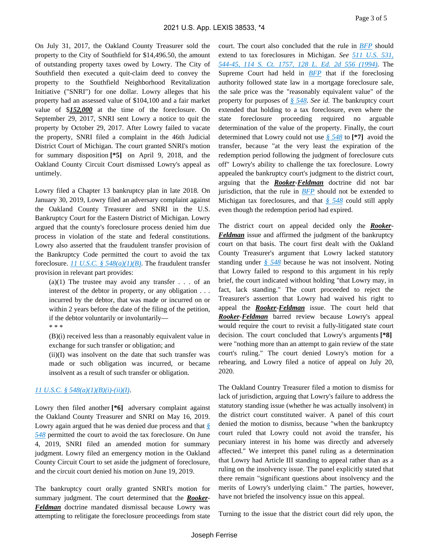On July 31, 2017, the Oakland County Treasurer sold the property to the City of Southfield for \$14,496.50, the amount of outstanding property taxes owed by Lowry. The City of Southfield then executed a quit-claim deed to convey the property to the Southfield Neighborhood Revitalization Initiative ("SNRI") for one dollar. Lowry alleges that his property had an assessed value of \$104,100 and a fair market value of \$*152,000* at the time of the foreclosure. On September 29, 2017, SNRI sent Lowry a notice to quit the property by October 29, 2017. After Lowry failed to vacate the property, SNRI filed a complaint in the 46th Judicial District Court of Michigan. The court granted SNRI's motion for summary disposition **[\*5]** on April 9, 2018, and the Oakland County Circuit Court dismissed Lowry's appeal as untimely.

Lowry filed a Chapter 13 bankruptcy plan in late 2018. On January 30, 2019, Lowry filed an adversary complaint against the Oakland County Treasurer and SNRI in the U.S. Bankruptcy Court for the Eastern District of Michigan. Lowry argued that the county's foreclosure process denied him due process in violation of the state and federal constitutions. Lowry also asserted that the fraudulent transfer provision of the Bankruptcy Code permitted the court to avoid the tax foreclosure. *[11 U.S.C. § 548\(a\)\(1\)\(B\)](https://advance.lexis.com/api/document?collection=statutes-legislation&id=urn:contentItem:8S7X-D412-D6RV-H2NW-00000-00&context=1000516)*. The fraudulent transfer provision in relevant part provides:

(a)(1) The trustee may avoid any transfer  $\ldots$  of an interest of the debtor in property, or any obligation . . . incurred by the debtor, that was made or incurred on or within 2 years before the date of the filing of the petition, if the debtor voluntarily or involuntarily—

#### \* \* \*

(B)(i) received less than a reasonably equivalent value in exchange for such transfer or obligation; and

(ii)(I) was insolvent on the date that such transfer was made or such obligation was incurred, or became insolvent as a result of such transfer or obligation.

#### *[11 U.S.C. § 548\(a\)\(1\)\(B\)\(i\)-\(ii\)\(I\)](https://advance.lexis.com/api/document?collection=statutes-legislation&id=urn:contentItem:8S7X-D412-D6RV-H2NW-00000-00&context=1000516)*.

Lowry then filed another [<sup>\*</sup>6] adversary complaint against the Oakland County Treasurer and SNRI on May 16, 2019. Lowry again argued that he was denied due process and that *[§](https://advance.lexis.com/api/document?collection=statutes-legislation&id=urn:contentItem:8S7X-D412-D6RV-H2NW-00000-00&context=1000516)  [548](https://advance.lexis.com/api/document?collection=statutes-legislation&id=urn:contentItem:8S7X-D412-D6RV-H2NW-00000-00&context=1000516)* permitted the court to avoid the tax foreclosure. On June 4, 2019, SNRI filed an amended motion for summary judgment. Lowry filed an emergency motion in the Oakland County Circuit Court to set aside the judgment of foreclosure, and the circuit court denied his motion on June 19, 2019.

The bankruptcy court orally granted SNRI's motion for summary judgment. The court determined that the *Rooker-Feldman* doctrine mandated dismissal because Lowry was attempting to relitigate the foreclosure proceedings from state court. The court also concluded that the rule in *[BFP](https://advance.lexis.com/api/document?collection=cases&id=urn:contentItem:3S65-JW50-003B-R107-00000-00&context=1000516)* should extend to tax foreclosures in Michigan. *See [511 U.S. 531,](https://advance.lexis.com/api/document?collection=cases&id=urn:contentItem:3S65-JW50-003B-R107-00000-00&context=1000516)  [544-45, 114 S. Ct. 1757, 128 L. Ed. 2d 556 \(1994\)](https://advance.lexis.com/api/document?collection=cases&id=urn:contentItem:3S65-JW50-003B-R107-00000-00&context=1000516)*. The Supreme Court had held in *[BFP](https://advance.lexis.com/api/document?collection=cases&id=urn:contentItem:3S65-JW50-003B-R107-00000-00&context=1000516)* that if the foreclosing authority followed state law in a mortgage foreclosure sale, the sale price was the "reasonably equivalent value" of the property for purposes of *[§ 548](https://advance.lexis.com/api/document?collection=statutes-legislation&id=urn:contentItem:8S7X-D412-D6RV-H2NW-00000-00&context=1000516)*. *See id.* The bankruptcy court extended that holding to a tax foreclosure, even where the state foreclosure proceeding required no arguable determination of the value of the property. Finally, the court determined that Lowry could not use *[§ 548](https://advance.lexis.com/api/document?collection=statutes-legislation&id=urn:contentItem:8S7X-D412-D6RV-H2NW-00000-00&context=1000516)* to **[\*7]** avoid the transfer, because "at the very least the expiration of the redemption period following the judgment of foreclosure cuts off" Lowry's ability to challenge the tax foreclosure. Lowry appealed the bankruptcy court's judgment to the district court, arguing that the *Rooker-Feldman* doctrine did not bar jurisdiction, that the rule in *[BFP](https://advance.lexis.com/api/document?collection=cases&id=urn:contentItem:3S65-JW50-003B-R107-00000-00&context=1000516)* should not be extended to Michigan tax foreclosures, and that *[§ 548](https://advance.lexis.com/api/document?collection=statutes-legislation&id=urn:contentItem:8S7X-D412-D6RV-H2NW-00000-00&context=1000516)* could still apply even though the redemption period had expired.

The district court on appeal decided only the *Rooker-Feldman* issue and affirmed the judgment of the bankruptcy court on that basis. The court first dealt with the Oakland County Treasurer's argument that Lowry lacked statutory standing under *[§ 548](https://advance.lexis.com/api/document?collection=statutes-legislation&id=urn:contentItem:8S7X-D412-D6RV-H2NW-00000-00&context=1000516)* because he was not insolvent. Noting that Lowry failed to respond to this argument in his reply brief, the court indicated without holding "that Lowry may, in fact, lack standing." The court proceeded to reject the Treasurer's assertion that Lowry had waived his right to appeal the *Rooker-Feldman* issue. The court held that *Rooker-Feldman* barred review because Lowry's appeal would require the court to revisit a fully-litigated state court decision. The court concluded that Lowry's arguments **[\*8]**  were "nothing more than an attempt to gain review of the state court's ruling." The court denied Lowry's motion for a rehearing, and Lowry filed a notice of appeal on July 20, 2020.

The Oakland Country Treasurer filed a motion to dismiss for lack of jurisdiction, arguing that Lowry's failure to address the statutory standing issue (whether he was actually insolvent) in the district court constituted waiver. A panel of this court denied the motion to dismiss, because "when the bankruptcy court ruled that Lowry could not avoid the transfer, his pecuniary interest in his home was directly and adversely affected." We interpret this panel ruling as a determination that Lowry had Article III standing to appeal rather than as a ruling on the insolvency issue. The panel explicitly stated that there remain "significant questions about insolvency and the merits of Lowry's underlying claim." The parties, however, have not briefed the insolvency issue on this appeal.

Turning to the issue that the district court did rely upon, the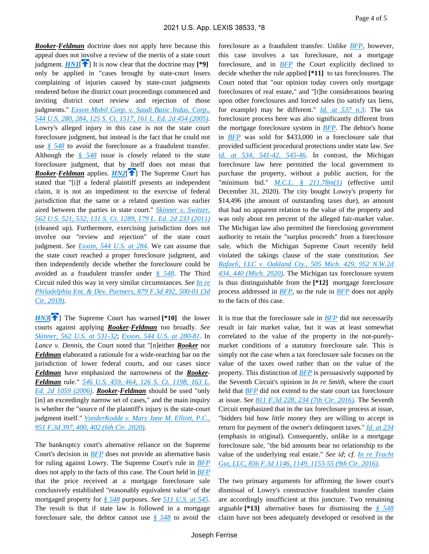<span id="page-11-1"></span><span id="page-11-0"></span>*Rooker-Feldman* doctrine does not apply here because this appeal does not involve a review of the merits of a state court judgment.  $HNI[\hat{\mathbf{T}}]$  $HNI[\hat{\mathbf{T}}]$  $HNI[\hat{\mathbf{T}}]$  It is now clear that the doctrine may [\*9] only be applied in "cases brought by state-court losers complaining of injuries caused by state-court judgments rendered before the district court proceedings commenced and inviting district court review and rejection of those judgments." *[Exxon Mobil Corp. v. Saudi Basic Indus. Corp.,](https://advance.lexis.com/api/document?collection=cases&id=urn:contentItem:4FTW-X5G0-004B-Y01N-00000-00&context=1000516)  [544 U.S. 280, 284, 125 S. Ct. 1517, 161 L. Ed. 2d 454 \(2005\)](https://advance.lexis.com/api/document?collection=cases&id=urn:contentItem:4FTW-X5G0-004B-Y01N-00000-00&context=1000516)*. Lowry's alleged injury in this case is not the state court foreclosure judgment, but instead is the fact that he could not use *[§ 548](https://advance.lexis.com/api/document?collection=statutes-legislation&id=urn:contentItem:8S7X-D412-D6RV-H2NW-00000-00&context=1000516)* to avoid the foreclosure as a fraudulent transfer. Although the *[§ 548](https://advance.lexis.com/api/document?collection=statutes-legislation&id=urn:contentItem:8S7X-D412-D6RV-H2NW-00000-00&context=1000516)* issue is closely related to the state foreclosure judgment, that by itself does not mean that *Rooker*-*Feldman* applies. *[HN2](https://advance.lexis.com/api/document?collection=cases&id=urn:contentItem:64D8-C9J1-FK0M-S3DF-00000-00&context=1000516&link=clscc2)*<sup>[4]</sup> The Supreme Court has stated that "[i]f a federal plaintiff presents an independent claim, it is not an impediment to the exercise of federal jurisdiction that the same or a related question was earlier aired between the parties in state court." *[Skinner v. Switzer,](https://advance.lexis.com/api/document?collection=cases&id=urn:contentItem:52B7-KY11-F04K-F184-00000-00&context=1000516)  [562 U.S. 521, 532, 131 S. Ct. 1289, 179 L. Ed. 2d 233 \(2011\)](https://advance.lexis.com/api/document?collection=cases&id=urn:contentItem:52B7-KY11-F04K-F184-00000-00&context=1000516)* (cleaned up). Furthermore, exercising jurisdiction does not involve our "review and rejection" of the state court judgment. *See [Exxon, 544 U.S. at 284](https://advance.lexis.com/api/document?collection=cases&id=urn:contentItem:4FTW-X5G0-004B-Y01N-00000-00&context=1000516)*. We can assume that the state court reached a proper foreclosure judgment, and then independently decide whether the foreclosure could be avoided as a fraudulent transfer under *[§ 548](https://advance.lexis.com/api/document?collection=statutes-legislation&id=urn:contentItem:8S7X-D412-D6RV-H2NW-00000-00&context=1000516)*. The Third Circuit ruled this way in very similar circumstances. *See [In re](https://advance.lexis.com/api/document?collection=cases&id=urn:contentItem:5RCS-CS81-F04K-K1WW-00000-00&context=1000516)  [Philadelphia Ent. & Dev. Partners, 879 F.3d 492, 500-01 \(3d](https://advance.lexis.com/api/document?collection=cases&id=urn:contentItem:5RCS-CS81-F04K-K1WW-00000-00&context=1000516)  [Cir. 2018\)](https://advance.lexis.com/api/document?collection=cases&id=urn:contentItem:5RCS-CS81-F04K-K1WW-00000-00&context=1000516)*.

<span id="page-11-2"></span>*[HN3](https://advance.lexis.com/api/document?collection=cases&id=urn:contentItem:64D8-C9J1-FK0M-S3DF-00000-00&context=1000516&link=clscc3)***<sup>[\[](#page-9-0)4]</sup>** The Supreme Court has warned [\*10] the lower courts against applying *Rooker-Feldman* too broadly. *See [Skinner, 562 U.S. at 531-32](https://advance.lexis.com/api/document?collection=cases&id=urn:contentItem:52B7-KY11-F04K-F184-00000-00&context=1000516)*; *[Exxon, 544 U.S. at 280-81](https://advance.lexis.com/api/document?collection=cases&id=urn:contentItem:4FTW-X5G0-004B-Y01N-00000-00&context=1000516)*. In *Lance v. Dennis*, the Court noted that "[n]either *Rooker* nor *Feldman* elaborated a rationale for a wide-reaching bar on the jurisdiction of lower federal courts, and our cases since *Feldman* have emphasized the narrowness of the *Rooker-Feldman* rule." *[546 U.S. 459, 464, 126 S. Ct. 1198, 163 L.](https://advance.lexis.com/api/document?collection=cases&id=urn:contentItem:4J9V-C8Y0-004B-Y02X-00000-00&context=1000516)  [Ed. 2d 1059 \(2006\)](https://advance.lexis.com/api/document?collection=cases&id=urn:contentItem:4J9V-C8Y0-004B-Y02X-00000-00&context=1000516)*. *Rooker-Feldman* should be used "only [in] an exceedingly narrow set of cases," and the main inquiry is whether the "source of the plaintiff's injury is the state-court judgment itself." *[VanderKodde v. Mary Jane M. Elliott, P.C.,](https://advance.lexis.com/api/document?collection=cases&id=urn:contentItem:5Y98-B261-JN14-G0CS-00000-00&context=1000516)  [951 F.3d 397, 400, 402 \(6th Cir. 2020\)](https://advance.lexis.com/api/document?collection=cases&id=urn:contentItem:5Y98-B261-JN14-G0CS-00000-00&context=1000516)*.

The bankruptcy court's alternative reliance on the Supreme Court's decision in *[BFP](https://advance.lexis.com/api/document?collection=cases&id=urn:contentItem:3S65-JW50-003B-R107-00000-00&context=1000516)* does not provide an alternative basis for ruling against Lowry. The Supreme Court's rule in *[BFP](https://advance.lexis.com/api/document?collection=cases&id=urn:contentItem:3S65-JW50-003B-R107-00000-00&context=1000516)* does not apply to the facts of this case. The Court held in *[BFP](https://advance.lexis.com/api/document?collection=cases&id=urn:contentItem:3S65-JW50-003B-R107-00000-00&context=1000516)* that the price received at a mortgage foreclosure sale conclusively established "reasonably equivalent value" of the mortgaged property for *[§ 548](https://advance.lexis.com/api/document?collection=statutes-legislation&id=urn:contentItem:8S7X-D412-D6RV-H2NW-00000-00&context=1000516)* purposes. *See [511 U.S. at 545](https://advance.lexis.com/api/document?collection=cases&id=urn:contentItem:3S65-JW50-003B-R107-00000-00&context=1000516)*. The result is that if state law is followed in a mortgage foreclosure sale, the debtor cannot use *[§ 548](https://advance.lexis.com/api/document?collection=statutes-legislation&id=urn:contentItem:8S7X-D412-D6RV-H2NW-00000-00&context=1000516)* to avoid the foreclosure as a fraudulent transfer. Unlike *[BFP](https://advance.lexis.com/api/document?collection=cases&id=urn:contentItem:3S65-JW50-003B-R107-00000-00&context=1000516)*, however, this case involves a tax foreclosure, not a mortgage foreclosure, and in *[BFP](https://advance.lexis.com/api/document?collection=cases&id=urn:contentItem:3S65-JW50-003B-R107-00000-00&context=1000516)* the Court explicitly declined to decide whether the rule applied **[\*11]** to tax foreclosures. The Court noted that "our opinion today covers only mortgage foreclosures of real estate," and "[t]he considerations bearing upon other foreclosures and forced sales (to satisfy tax liens, for example) may be different." *[Id. at 537 n.3](https://advance.lexis.com/api/document?collection=cases&id=urn:contentItem:3S65-JW50-003B-R107-00000-00&context=1000516)*. The tax foreclosure process here was also significantly different from the mortgage foreclosure system in *[BFP](https://advance.lexis.com/api/document?collection=cases&id=urn:contentItem:3S65-JW50-003B-R107-00000-00&context=1000516)*. The debtor's home in *[BFP](https://advance.lexis.com/api/document?collection=cases&id=urn:contentItem:3S65-JW50-003B-R107-00000-00&context=1000516)* was sold for \$433,000 in a foreclosure sale that provided sufficient procedural protections under state law. *See [id. at 534, 541-42, 545-46](https://advance.lexis.com/api/document?collection=cases&id=urn:contentItem:3S65-JW50-003B-R107-00000-00&context=1000516)*. In contrast, the Michigan foreclosure law here permitted the local government to purchase the property, without a public auction, for the "minimum bid." *[M.C.L. § 211.78m\(1\)](https://advance.lexis.com/api/document?collection=statutes-legislation&id=urn:contentItem:61N9-MPR3-GXJ9-310C-00000-00&context=1000516)* (effective until December 31, 2020). The city bought Lowry's property for \$14,496 (the amount of outstanding taxes due), an amount that had no apparent relation to the value of the property and was only about ten percent of the alleged fair-market value. The Michigan law also permitted the foreclosing government authority to retain the "surplus proceeds" from a foreclosure sale, which the Michigan Supreme Court recently held violated the takings clause of the state constitution. *See [Rafaeli, LLC v. Oakland Cty., 505 Mich. 429, 952 N.W.2d](https://advance.lexis.com/api/document?collection=cases&id=urn:contentItem:60CJ-JVC1-JGHR-M47C-00000-00&context=1000516)  [434, 440 \(Mich. 2020\)](https://advance.lexis.com/api/document?collection=cases&id=urn:contentItem:60CJ-JVC1-JGHR-M47C-00000-00&context=1000516)*. The Michigan tax foreclosure system is thus distinguishable from the **[\*12]** mortgage foreclosure process addressed in *[BFP](https://advance.lexis.com/api/document?collection=cases&id=urn:contentItem:3S65-JW50-003B-R107-00000-00&context=1000516)*, so the rule in *[BFP](https://advance.lexis.com/api/document?collection=cases&id=urn:contentItem:3S65-JW50-003B-R107-00000-00&context=1000516)* does not apply to the facts of this case.

It is true that the foreclosure sale in *[BFP](https://advance.lexis.com/api/document?collection=cases&id=urn:contentItem:3S65-JW50-003B-R107-00000-00&context=1000516)* did not necessarily result in fair market value, but it was at least somewhat correlated to the value of the property in the not-purelymarket conditions of a statutory foreclosure sale. This is simply not the case when a tax foreclosure sale focuses on the value of the taxes owed rather than on the value of the property. This distinction of *[BFP](https://advance.lexis.com/api/document?collection=cases&id=urn:contentItem:3S65-JW50-003B-R107-00000-00&context=1000516)* is persuasively supported by the Seventh Circuit's opinion in *In re Smith*, where the court held that *[BFP](https://advance.lexis.com/api/document?collection=cases&id=urn:contentItem:3S65-JW50-003B-R107-00000-00&context=1000516)* did not extend to the state court tax foreclosure at issue. *See [811 F.3d 228, 234 \(7th Cir. 2016\)](https://advance.lexis.com/api/document?collection=cases&id=urn:contentItem:5HWV-DNP1-F04K-R0B8-00000-00&context=1000516)*. The Seventh Circuit emphasized that in the tax foreclosure process at issue, "bidders bid how *little* money they are willing to accept in return for payment of the owner's delinquent taxes." *[Id. at 234](https://advance.lexis.com/api/document?collection=cases&id=urn:contentItem:5HWV-DNP1-F04K-R0B8-00000-00&context=1000516)* (emphasis in original). Consequently, unlike in a mortgage foreclosure sale, "the bid amounts bear no relationship to the value of the underlying real estate." *See id*; *cf. [In re Tracht](https://advance.lexis.com/api/document?collection=cases&id=urn:contentItem:5KN9-54P1-F04K-V3SX-00000-00&context=1000516)  [Gut, LLC, 836 F.3d 1146, 1149, 1153-55 \(9th Cir. 2016\)](https://advance.lexis.com/api/document?collection=cases&id=urn:contentItem:5KN9-54P1-F04K-V3SX-00000-00&context=1000516)*.

The two primary arguments for affirming the lower court's dismissal of Lowry's constructive fraudulent transfer claim are accordingly insufficient at this juncture. Two remaining arguable **[\*13]** alternative bases for dismissing the *[§ 548](https://advance.lexis.com/api/document?collection=statutes-legislation&id=urn:contentItem:8S7X-D412-D6RV-H2NW-00000-00&context=1000516)* claim have not been adequately developed or resolved in the